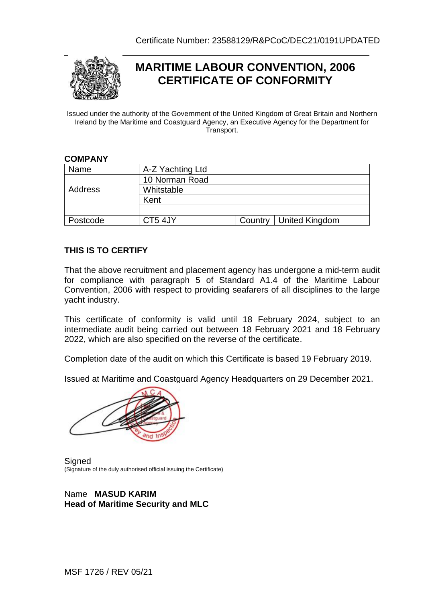

# **MARITIME LABOUR CONVENTION, 2006 CERTIFICATE OF CONFORMITY**

Issued under the authority of the Government of the United Kingdom of Great Britain and Northern Ireland by the Maritime and Coastguard Agency, an Executive Agency for the Department for Transport.

#### **COMPANY**

| Name     | A-Z Yachting Ltd |                          |
|----------|------------------|--------------------------|
| Address  | 10 Norman Road   |                          |
|          | Whitstable       |                          |
|          | Kent             |                          |
|          |                  |                          |
| Postcode | CT5 4JY          | Country   United Kingdom |

### **THIS IS TO CERTIFY**

That the above recruitment and placement agency has undergone a mid-term audit for compliance with paragraph 5 of Standard A1.4 of the Maritime Labour Convention, 2006 with respect to providing seafarers of all disciplines to the large yacht industry.

This certificate of conformity is valid until 18 February 2024, subject to an intermediate audit being carried out between 18 February 2021 and 18 February 2022, which are also specified on the reverse of the certificate.

Completion date of the audit on which this Certificate is based 19 February 2019.

Issued at Maritime and Coastguard Agency Headquarters on 29 December 2021.



**Signed** (Signature of the duly authorised official issuing the Certificate)

### Name **MASUD KARIM Head of Maritime Security and MLC**